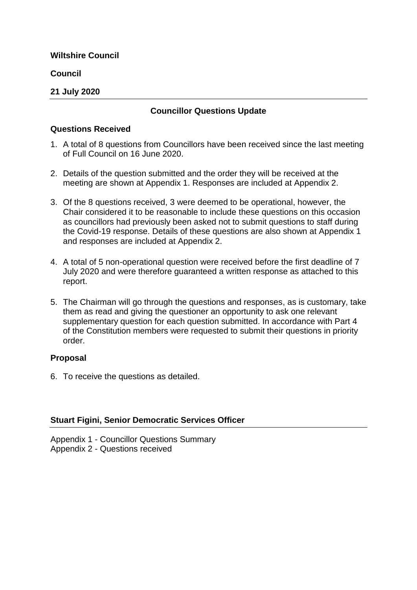**Council**

#### **21 July 2020**

#### **Councillor Questions Update**

#### **Questions Received**

- 1. A total of 8 questions from Councillors have been received since the last meeting of Full Council on 16 June 2020.
- 2. Details of the question submitted and the order they will be received at the meeting are shown at Appendix 1. Responses are included at Appendix 2.
- 3. Of the 8 questions received, 3 were deemed to be operational, however, the Chair considered it to be reasonable to include these questions on this occasion as councillors had previously been asked not to submit questions to staff during the Covid-19 response. Details of these questions are also shown at Appendix 1 and responses are included at Appendix 2.
- 4. A total of 5 non-operational question were received before the first deadline of 7 July 2020 and were therefore guaranteed a written response as attached to this report.
- 5. The Chairman will go through the questions and responses, as is customary, take them as read and giving the questioner an opportunity to ask one relevant supplementary question for each question submitted. In accordance with Part 4 of the Constitution members were requested to submit their questions in priority order.

#### **Proposal**

6. To receive the questions as detailed.

#### **Stuart Figini, Senior Democratic Services Officer**

Appendix 1 - Councillor Questions Summary Appendix 2 - Questions received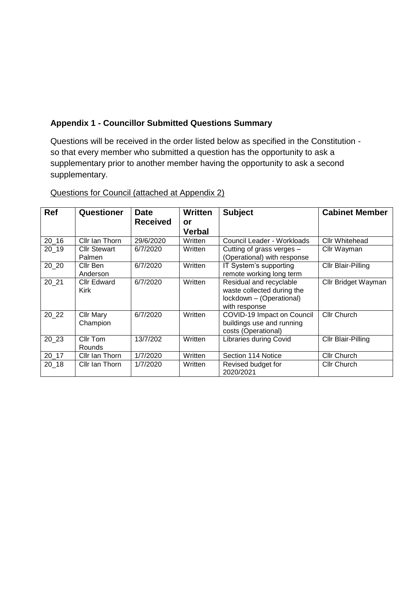## **Appendix 1 - Councillor Submitted Questions Summary**

Questions will be received in the order listed below as specified in the Constitution so that every member who submitted a question has the opportunity to ask a supplementary prior to another member having the opportunity to ask a second supplementary.

| <b>Ref</b> | Questioner          | <b>Date</b>     | <b>Written</b>      | <b>Subject</b>                | <b>Cabinet Member</b> |
|------------|---------------------|-----------------|---------------------|-------------------------------|-----------------------|
|            |                     | <b>Received</b> | or<br><b>Verbal</b> |                               |                       |
|            |                     |                 |                     |                               |                       |
| $20 - 16$  | Cllr Ian Thorn      | 29/6/2020       | Written             | Council Leader - Workloads    | Cllr Whitehead        |
| 20 19      | <b>Cllr Stewart</b> | 6/7/2020        | Written             | Cutting of grass verges -     | Cllr Wayman           |
|            | Palmen              |                 |                     | (Operational) with response   |                       |
| 20 20      | Cllr Ben            | 6/7/2020        | Written             | IT System's supporting        | Cllr Blair-Pilling    |
|            | Anderson            |                 |                     | remote working long term      |                       |
| 20 21      | <b>Cllr Edward</b>  | 6/7/2020        | Written             | Residual and recyclable       | Cllr Bridget Wayman   |
|            | Kirk                |                 |                     | waste collected during the    |                       |
|            |                     |                 |                     | lockdown - (Operational)      |                       |
|            |                     |                 |                     | with response                 |                       |
| 20 22      | <b>Cllr Mary</b>    | 6/7/2020        | Written             | COVID-19 Impact on Council    | <b>Cllr Church</b>    |
|            | Champion            |                 |                     | buildings use and running     |                       |
|            |                     |                 |                     | costs (Operational)           |                       |
| 20 23      | Cllr Tom            | 13/7/202        | Written             | <b>Libraries during Covid</b> | Cllr Blair-Pilling    |
|            | Rounds              |                 |                     |                               |                       |
| $20 - 17$  | Cllr Ian Thorn      | 1/7/2020        | Written             | Section 114 Notice            | <b>Cllr Church</b>    |
| 20 18      | Cllr Ian Thorn      | 1/7/2020        | Written             | Revised budget for            | <b>Cllr Church</b>    |
|            |                     |                 |                     | 2020/2021                     |                       |

Questions for Council (attached at Appendix 2)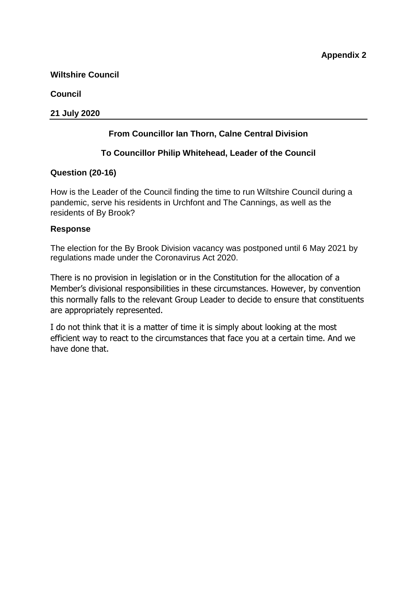### **Council**

### **21 July 2020**

# **From Councillor Ian Thorn, Calne Central Division**

### **To Councillor Philip Whitehead, Leader of the Council**

### **Question (20-16)**

How is the Leader of the Council finding the time to run Wiltshire Council during a pandemic, serve his residents in Urchfont and The Cannings, as well as the residents of By Brook?

### **Response**

The election for the By Brook Division vacancy was postponed until 6 May 2021 by regulations made under the Coronavirus Act 2020.

There is no provision in legislation or in the Constitution for the allocation of a Member's divisional responsibilities in these circumstances. However, by convention this normally falls to the relevant Group Leader to decide to ensure that constituents are appropriately represented.

I do not think that it is a matter of time it is simply about looking at the most efficient way to react to the circumstances that face you at a certain time. And we have done that.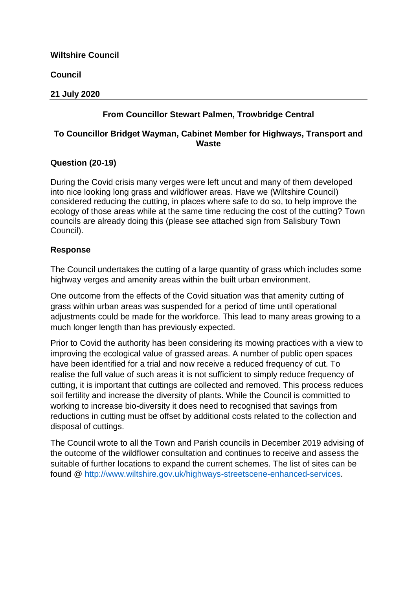**Council**

#### **21 July 2020**

# **From Councillor Stewart Palmen, Trowbridge Central**

### **To Councillor Bridget Wayman, Cabinet Member for Highways, Transport and Waste**

### **Question (20-19)**

During the Covid crisis many verges were left uncut and many of them developed into nice looking long grass and wildflower areas. Have we (Wiltshire Council) considered reducing the cutting, in places where safe to do so, to help improve the ecology of those areas while at the same time reducing the cost of the cutting? Town councils are already doing this (please see attached sign from Salisbury Town Council).

### **Response**

The Council undertakes the cutting of a large quantity of grass which includes some highway verges and amenity areas within the built urban environment.

One outcome from the effects of the Covid situation was that amenity cutting of grass within urban areas was suspended for a period of time until operational adjustments could be made for the workforce. This lead to many areas growing to a much longer length than has previously expected.

Prior to Covid the authority has been considering its mowing practices with a view to improving the ecological value of grassed areas. A number of public open spaces have been identified for a trial and now receive a reduced frequency of cut. To realise the full value of such areas it is not sufficient to simply reduce frequency of cutting, it is important that cuttings are collected and removed. This process reduces soil fertility and increase the diversity of plants. While the Council is committed to working to increase bio-diversity it does need to recognised that savings from reductions in cutting must be offset by additional costs related to the collection and disposal of cuttings.

The Council wrote to all the Town and Parish councils in December 2019 advising of the outcome of the wildflower consultation and continues to receive and assess the suitable of further locations to expand the current schemes. The list of sites can be found @ [http://www.wiltshire.gov.uk/highways-streetscene-enhanced-services.](https://eur02.safelinks.protection.outlook.com/?url=http%3A%2F%2Fwww.wiltshire.gov.uk%2Fhighways-streetscene-enhanced-services&data=02%7C01%7CStuart.Figini%40wiltshire.gov.uk%7C7c5c8d56625d4fd518ac08d827dbdb1c%7C5546e75e3be14813b0ff26651ea2fe19%7C0%7C0%7C637303172506507294&sdata=QVnJNMNSG%2B1oVA9RBy3dn%2FuJoKj1cP%2BePmT0yf0jYwc%3D&reserved=0)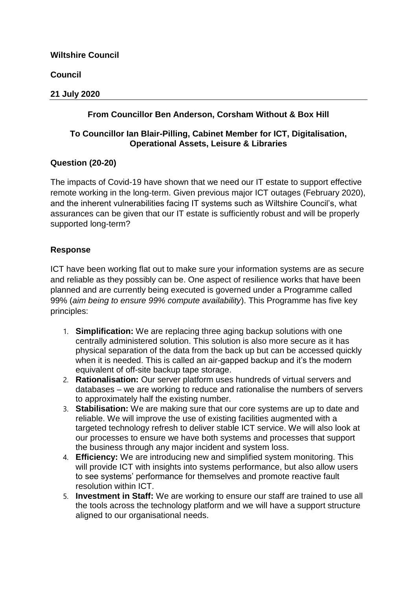**Council**

### **21 July 2020**

## **From Councillor Ben Anderson, Corsham Without & Box Hill**

## **To Councillor Ian Blair-Pilling, Cabinet Member for ICT, Digitalisation, Operational Assets, Leisure & Libraries**

### **Question (20-20)**

The impacts of Covid-19 have shown that we need our IT estate to support effective remote working in the long-term. Given previous major ICT outages (February 2020), and the inherent vulnerabilities facing IT systems such as Wiltshire Council's, what assurances can be given that our IT estate is sufficiently robust and will be properly supported long-term?

### **Response**

ICT have been working flat out to make sure your information systems are as secure and reliable as they possibly can be. One aspect of resilience works that have been planned and are currently being executed is governed under a Programme called 99% (*aim being to ensure 99% compute availability*). This Programme has five key principles:

- 1. **Simplification:** We are replacing three aging backup solutions with one centrally administered solution. This solution is also more secure as it has physical separation of the data from the back up but can be accessed quickly when it is needed. This is called an air-gapped backup and it's the modern equivalent of off-site backup tape storage.
- 2. **Rationalisation:** Our server platform uses hundreds of virtual servers and databases – we are working to reduce and rationalise the numbers of servers to approximately half the existing number.
- 3. **Stabilisation:** We are making sure that our core systems are up to date and reliable. We will improve the use of existing facilities augmented with a targeted technology refresh to deliver stable ICT service. We will also look at our processes to ensure we have both systems and processes that support the business through any major incident and system loss.
- 4. **Efficiency:** We are introducing new and simplified system monitoring. This will provide ICT with insights into systems performance, but also allow users to see systems' performance for themselves and promote reactive fault resolution within ICT.
- 5. **Investment in Staff:** We are working to ensure our staff are trained to use all the tools across the technology platform and we will have a support structure aligned to our organisational needs.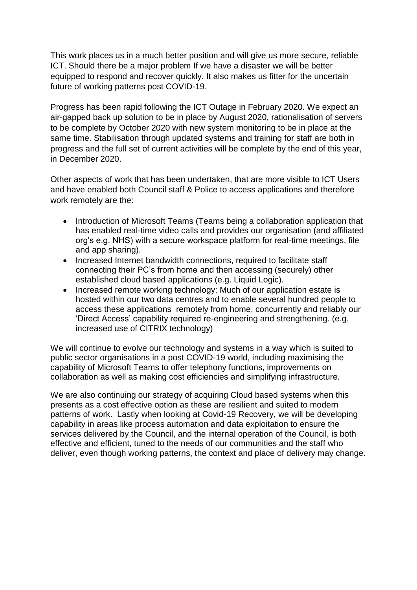This work places us in a much better position and will give us more secure, reliable ICT. Should there be a major problem If we have a disaster we will be better equipped to respond and recover quickly. It also makes us fitter for the uncertain future of working patterns post COVID-19.

Progress has been rapid following the ICT Outage in February 2020. We expect an air-gapped back up solution to be in place by August 2020, rationalisation of servers to be complete by October 2020 with new system monitoring to be in place at the same time. Stabilisation through updated systems and training for staff are both in progress and the full set of current activities will be complete by the end of this year, in December 2020.

Other aspects of work that has been undertaken, that are more visible to ICT Users and have enabled both Council staff & Police to access applications and therefore work remotely are the:

- Introduction of Microsoft Teams (Teams being a collaboration application that has enabled real-time video calls and provides our organisation (and affiliated org's e.g. NHS) with a secure workspace platform for real-time meetings, file and app sharing).
- Increased Internet bandwidth connections, required to facilitate staff connecting their PC's from home and then accessing (securely) other established cloud based applications (e.g. Liquid Logic).
- Increased remote working technology: Much of our application estate is hosted within our two data centres and to enable several hundred people to access these applications remotely from home, concurrently and reliably our 'Direct Access' capability required re-engineering and strengthening. (e.g. increased use of CITRIX technology)

We will continue to evolve our technology and systems in a way which is suited to public sector organisations in a post COVID-19 world, including maximising the capability of Microsoft Teams to offer telephony functions, improvements on collaboration as well as making cost efficiencies and simplifying infrastructure.

We are also continuing our strategy of acquiring Cloud based systems when this presents as a cost effective option as these are resilient and suited to modern patterns of work. Lastly when looking at Covid-19 Recovery, we will be developing capability in areas like process automation and data exploitation to ensure the services delivered by the Council, and the internal operation of the Council, is both effective and efficient, tuned to the needs of our communities and the staff who deliver, even though working patterns, the context and place of delivery may change.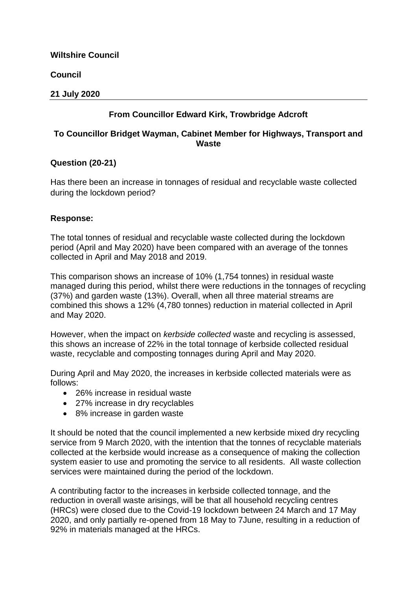**Council**

### **21 July 2020**

# **From Councillor Edward Kirk, Trowbridge Adcroft**

### **To Councillor Bridget Wayman, Cabinet Member for Highways, Transport and Waste**

### **Question (20-21)**

Has there been an increase in tonnages of residual and recyclable waste collected during the lockdown period?

### **Response:**

The total tonnes of residual and recyclable waste collected during the lockdown period (April and May 2020) have been compared with an average of the tonnes collected in April and May 2018 and 2019.

This comparison shows an increase of 10% (1,754 tonnes) in residual waste managed during this period, whilst there were reductions in the tonnages of recycling (37%) and garden waste (13%). Overall, when all three material streams are combined this shows a 12% (4,780 tonnes) reduction in material collected in April and May 2020.

However, when the impact on *kerbside collected* waste and recycling is assessed, this shows an increase of 22% in the total tonnage of kerbside collected residual waste, recyclable and composting tonnages during April and May 2020.

During April and May 2020, the increases in kerbside collected materials were as follows:

- 26% increase in residual waste
- 27% increase in dry recyclables
- 8% increase in garden waste

It should be noted that the council implemented a new kerbside mixed dry recycling service from 9 March 2020, with the intention that the tonnes of recyclable materials collected at the kerbside would increase as a consequence of making the collection system easier to use and promoting the service to all residents. All waste collection services were maintained during the period of the lockdown.

A contributing factor to the increases in kerbside collected tonnage, and the reduction in overall waste arisings, will be that all household recycling centres (HRCs) were closed due to the Covid-19 lockdown between 24 March and 17 May 2020, and only partially re-opened from 18 May to 7June, resulting in a reduction of 92% in materials managed at the HRCs.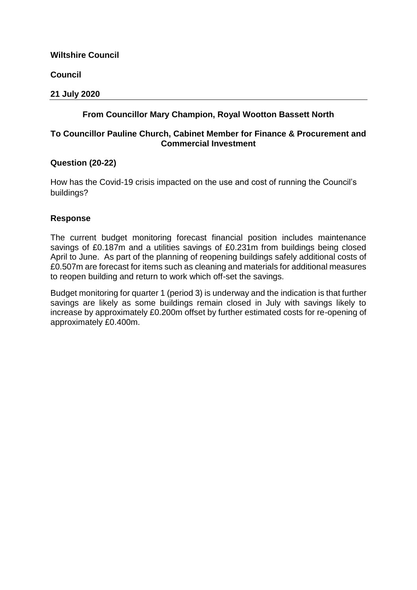**Council**

### **21 July 2020**

## **From Councillor Mary Champion, Royal Wootton Bassett North**

### **To Councillor Pauline Church, Cabinet Member for Finance & Procurement and Commercial Investment**

### **Question (20-22)**

How has the Covid-19 crisis impacted on the use and cost of running the Council's buildings?

### **Response**

The current budget monitoring forecast financial position includes maintenance savings of £0.187m and a utilities savings of £0.231m from buildings being closed April to June. As part of the planning of reopening buildings safely additional costs of £0.507m are forecast for items such as cleaning and materials for additional measures to reopen building and return to work which off-set the savings.

Budget monitoring for quarter 1 (period 3) is underway and the indication is that further savings are likely as some buildings remain closed in July with savings likely to increase by approximately £0.200m offset by further estimated costs for re-opening of approximately £0.400m.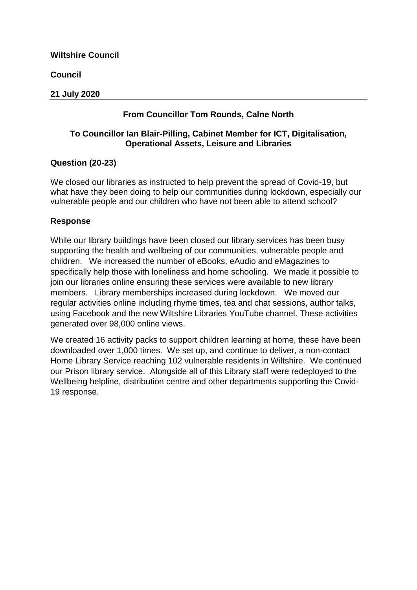**Council**

### **21 July 2020**

## **From Councillor Tom Rounds, Calne North**

### **To Councillor Ian Blair-Pilling, Cabinet Member for ICT, Digitalisation, Operational Assets, Leisure and Libraries**

### **Question (20-23)**

We closed our libraries as instructed to help prevent the spread of Covid-19, but what have they been doing to help our communities during lockdown, especially our vulnerable people and our children who have not been able to attend school?

### **Response**

While our library buildings have been closed our library services has been busy supporting the health and wellbeing of our communities, vulnerable people and children. We increased the number of eBooks, eAudio and eMagazines to specifically help those with loneliness and home schooling. We made it possible to join our libraries online ensuring these services were available to new library members. Library memberships increased during lockdown. We moved our regular activities online including rhyme times, tea and chat sessions, author talks, using Facebook and the new Wiltshire Libraries YouTube channel. These activities generated over 98,000 online views.

We created 16 activity packs to support children learning at home, these have been downloaded over 1,000 times. We set up, and continue to deliver, a non-contact Home Library Service reaching 102 vulnerable residents in Wiltshire. We continued our Prison library service. Alongside all of this Library staff were redeployed to the Wellbeing helpline, distribution centre and other departments supporting the Covid-19 response.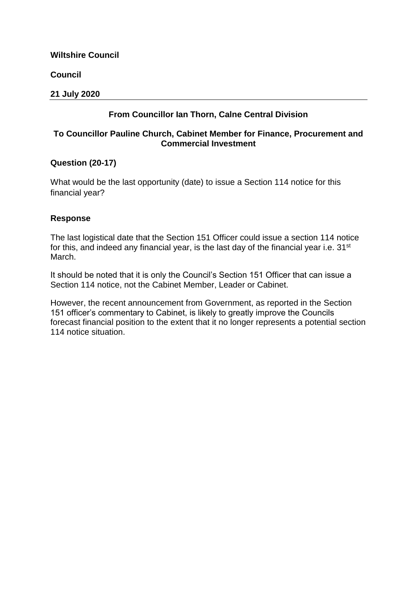**Council**

### **21 July 2020**

## **From Councillor Ian Thorn, Calne Central Division**

### **To Councillor Pauline Church, Cabinet Member for Finance, Procurement and Commercial Investment**

### **Question (20-17)**

What would be the last opportunity (date) to issue a Section 114 notice for this financial year?

### **Response**

The last logistical date that the Section 151 Officer could issue a section 114 notice for this, and indeed any financial year, is the last day of the financial year i.e. 31<sup>st</sup> March.

It should be noted that it is only the Council's Section 151 Officer that can issue a Section 114 notice, not the Cabinet Member, Leader or Cabinet.

However, the recent announcement from Government, as reported in the Section 151 officer's commentary to Cabinet, is likely to greatly improve the Councils forecast financial position to the extent that it no longer represents a potential section 114 notice situation.